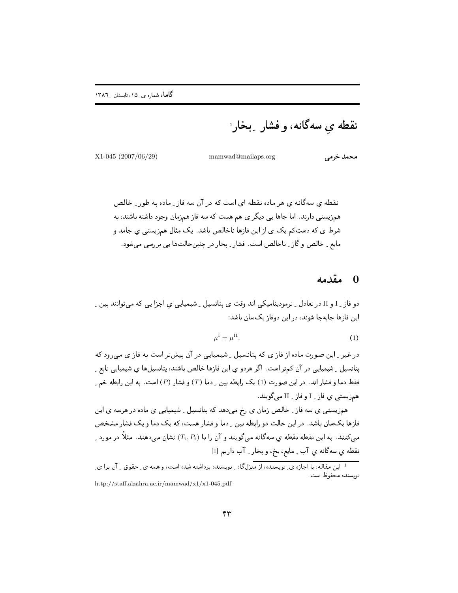نقطه ی سهگانه، و فشار پهخار ً

محمد خرمے

mamwad@mailaps.org

X1-045 (2007/06/29)

نقطه ی سهگانه ی هر ماده نقطه ای است که در آن سه فاز ِ ماده به طور ِ خالص همزیستی دارند. اما جاها یی دیگر ی هم هست که سه فاز همزمان وجود داشته باشند، به شرط ي كه دستِكم يك ي از اين فازها ناخالص باشد. يک مثال همزيستبي ي جامد و مايع ِ خالص و گاز ِ ناخالص است. فشار ِ بخار در چنينحالتها يي بررسي مي شود.

### 0 مقدمه

دو فاز <sub>-</sub> I و II در تعادل <sub>-</sub> ترمودینامیکی اند وقت ی پتانسیل <sub>-</sub> شیمیایی ی اجزا یی که میتوانند بین <sub>-</sub> این فازها جابهجا شوند، در این دوفاز یکسان باشد:

$$
\mu^{\mathcal{I}} = \mu^{\mathcal{II}}.\tag{1}
$$

در غیر په این صورت ماده از فاز ی که پتانسیل په شیمیایی در آن پیش تر است به فاز ی می رود که یتانسپل ِ شیمپایی در آن کمتر است. اگر هردو ی این فازها خالص باشند، پتانسپلها ی شیمپایی تابع ِ فقط دما و فشار اند. در این صورت (1) یک رابطه بین ۱ دما (T) و فشار (P) است. به این رابطه خم ـ هم; پستي ي فاز \_ I و فاز \_ II مي گويند.

همزیستی یِ سه فاز ِ خالص زمان ی رخ میدهد که پتانسیل ِ شیمیایی ی ماده در هرسه ی این فازها یکسان باشد. در این حالت دو رابطه بین ِ دما و فشار هست، که یک دما و یک فشار مشخص می کنند. به این نقطه نقطه ی سه گانه می گویند و آن را با  $(T_{\mathrm{t}}, P_{\mathrm{t}})$  نشان می دهند. مثلاً در مورد ِ نقطه ي سه گانه ي آب - مايع، يخ، و بخار - آب داريم [1]

<sup>۔&</sup>lt;br><sup>1</sup> این مقاله، با اجازہ ی ِ نویسندہ، از منزلگاہ ِ نویسندہ برداشته شدہ است، و همه ی ِ حقوق ۔ آن برا ی۔ نو بسنده محفوظ است.

http://staff.alzahra.ac.ir/mamwad/x1/x1-045.pdf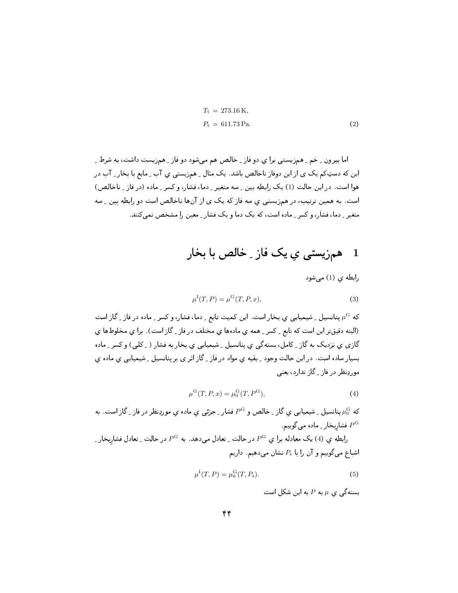$$
T_{\rm t} = 273.16 \,\text{K},
$$
  
\n
$$
P_{\rm t} = 611.73 \,\text{Pa}.
$$
\n(2)

اما بیرون به خم به همزیستی برا ی دو فاز به خالص هم می شود دو فاز بهمزیست داشت، به شرط ب این که دستِکم یک ی از این دوفاز ناخالص باشد. یک مثال ِ همزیستی ی آب ِ مایع با بخار ِ آب در هوا است. در این حالت (1) یک رابطه بین په سه متغیر په دما، فشار، و کسر په ماده (در فاز په ناخالص) است. به همین ترتیب، در همزیستی ی سه فاز که یک ی از آنها ناخالص است دو رابطه بین به متغیر - دما، فشار، و کسر - ماده است، که یک دما و یک فشار - معین را مشخص نمی کنند.

#### همزیستی یِ یک فاز ِ خالص با بخار  $\blacksquare$

رابطه ي (1) مي شود

$$
\mu^{I}(T, P) = \mu^{G}(T, P, x),
$$
\n(3)

که  $\mu^{\rm G}$  بیتانسیل ِ شیمپایی ی بخار است. این کمیت تابع ِ دما، فشار، و کسر ِ ماده در فاز ِ گاز است (البته دقیقتر این است که تابع ِ کسر ِ همه ی مادهها ی مختلف در فاز ِ گاز است). برا ی مخلوطها ی گازی ی نزدیک به گاز ِ کامل، بسته گپی ی پتانسیل ِ شیمیایی ی بخار به فشار ( ِ کلبی) و کسر ِ ماده بسیار ساده است. در این حالت وجود ِ بقیه ی مواد در فاز ِ گاز اثر ی بر پتانسیل ِ شیمیایی ی ماده ی موردِنظر در فاز کگاز ندارد، یعنی

$$
\mu^{\mathcal{G}}(T, P, x) = \mu_0^{\mathcal{G}}(T, P^{\mathcal{G}}),\tag{4}
$$

که  $\mu_0^\mathrm{G}$  پتانسیل ِ شیمیایی ی گاز ِ خالص و  $P^\mathrm{G}$ فشار ِ جزئی ی ماده ی موردِنظر در فاز ِ گاز است. به فشاربخار \_ ماده مي گوييم .  $P^{\rm G}$ 

رابطه ی (4) یک معادله برا ی  $P^{\rm G}$  در حالت ِ تعادل میدهد. به  $P^{\rm G}$  در حالت ِ تعادل فشاربخار ِ اشباع میگوییم و آن را با  $P_{\rm s}$  نشان میدهیم. داریم

$$
\mu^{I}(T, P) = \mu_{0}^{G}(T, P_{s}).
$$
\n(5)

بستهگی ی  $\mu$  به  $P$  به این شکل است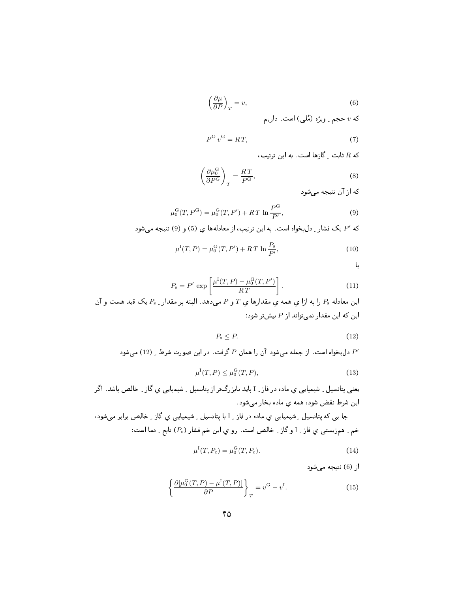$$
\left(\frac{\partial \mu}{\partial P}\right)_T = v,\tag{6}
$$

که  $v$  حجم ِ ویژه (مُلی) است. داریم

$$
P^{\rm G} v^{\rm G} = RT,\tag{7}
$$

که  $R$  ثابت <sub>ـ</sub> گازها است . به این ترتیب،

$$
\left(\frac{\partial \mu_0^{\rm G}}{\partial P^{\rm G}}\right)_T = \frac{RT}{P^{\rm G}},\tag{8}
$$

که از آن نتیجه می شود

$$
\mu_0^{\rm G}(T, P^{\rm G}) = \mu_0^{\rm G}(T, P') + RT \ln \frac{P^{\rm G}}{P'},\tag{9}
$$

که  $P'$  یک فشار ِ دلبخواه است. به این ترتیب، از معادلهها ی (5) و (9) نتیجه میشود

$$
\mu^{I}(T, P) = \mu_{0}^{G}(T, P') + RT \ln \frac{P_{s}}{P'},
$$
\n(10)

یا

$$
P_{\rm s} = P' \exp\left[\frac{\mu^{\rm I}(T, P) - \mu_0^{\rm G}(T, P')}{RT}\right].\tag{11}
$$

این معادله  $P_{\rm s}$  را به ازا ی همه ی مقدارها ی  $T$  و P میدهد. البته بر مقدار  $P_{\rm s}$  یک قید هست و آن این که این مقدار نمی تواند از  $P$  بیش تر شود:

$$
P_{\rm s} \le P. \tag{12}
$$

دل خواه است. از جمله می شود آن را همان P گرفت. در این صورت شرط ِ (12) می شود  $P'$ 

$$
\mu^{\mathrm{I}}(T,P) \le \mu_0^{\mathrm{G}}(T,P),\tag{13}
$$

یعنی پتانسیل ِ شیمیایی ی ماده در فاز ِ I باید نابزرگتر از پتانسیل ِ شیمیایی ی گاز ِ خالص باشد. اگر این شرط نقض شود، همه ی ماده بخار می شود.

جا یی که پتانسیل ِ شیمیایی ی ماده در فاز ِ I با پتانسیل ِ شیمیایی ی گاز ِ خالص برابر میشود، خم ِ همزیستی ی فاز ِ I و گاز ِ خالص است. رو ی این خم فشار ( $P_{\rm c}$ ) تابع ِ دما است:

$$
\mu^{I}(T, P_{c}) = \mu_{0}^{G}(T, P_{c}).
$$
\n(14)

 $\mathfrak{g}$ ار (6) نتیجه مے شود

$$
\left\{\frac{\partial[\mu_0^{\mathcal{G}}(T,P) - \mu^{\mathcal{I}}(T,P)]}{\partial P}\right\}_T = v^{\mathcal{G}} - v^{\mathcal{I}}.
$$
\n(15)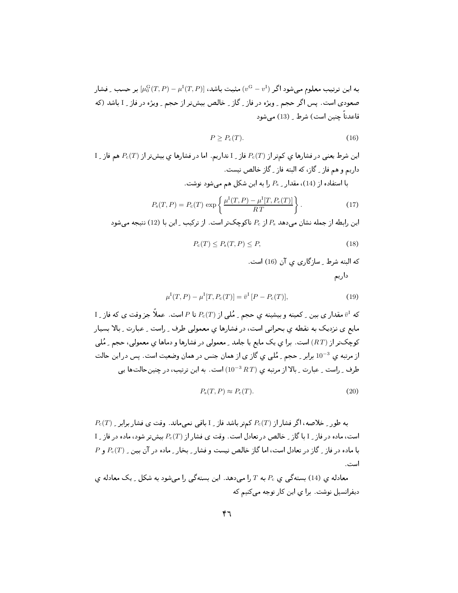به این ترتیب معلوم می شود اگر  $(v^{\rm G}-v^{\rm I})$  مثبت باشد،  $\mu_0^{\rm G}(T,P)-\mu^{\rm I}(T,P)$  بر حسب ِ فشار صعودی است. پس اگر حجم <sub>-</sub> ویژه در فاز <sub>-</sub> گاز <sub>-</sub> خالص بیشتر از حجم <sub>-</sub> ویژه در فاز <sub>-</sub> I باشد (که قاعدتاً چنین است) شرط \_ (13) مے شود

$$
P \ge P_c(T). \tag{16}
$$

I ین شرط یعنی در فشارها ی کمتر از  $P_{\rm c}(T)$  فاز  $1$  نداریم. اما در فشارها ی بیشتر از  $P_{\rm c}(T)$  هم فاز  $1$ داریم و هم فاز <sub>ب</sub>گان که البته فاز <sub>ب</sub>گاز خالص نیست.

با استفاده از (14)، مقدار ـ  $P_{\rm s}$  را به این شکل هم می شود نوشت.

$$
P_{\rm s}(T,P) = P_{\rm c}(T) \, \exp\left\{ \frac{\mu^{\rm I}(T,P) - \mu^{\rm I}[T,P_{\rm c}(T)]}{RT} \right\}.
$$
 (17)

این رابطه از جمله نشان می دهد  $P_{\rm s}$  از  $P_{\rm c}$  ناکوچک تر است. از ترکیب ِ این با (12) نتیجه می شود

$$
P_{\rm c}(T) \le P_{\rm s}(T, P) \le P,\tag{18}
$$

که البته شرط ِ سازگاری ی آن (16) است. داريم

$$
\mu^{I}(T, P) - \mu^{I}[T, P_{c}(T)] = \bar{v}^{I}[P - P_{c}(T)],
$$
\n(19)

I مقداری بین ِ کمپنه و بیشینه ی حجم ِ مُلی از  $P_{\rm c}(T)$  تا P است. عملاً جز وقت ی که فاز ِ I مایع ی نزدیک به نقطه ی بحرانی است، در فشارها ی معمولی طرف ِ راست ِ عبارت ِ بالا بسیار کوچکتر از (RT) است. برا ی یک مایع یا جامد <sub>-</sub> معمولی در فشارها و دماها ی معمولی، حجم <sub>-</sub> مُلی از مرتبه ی <sup>3</sup>03 برابر <sub>-</sub> حجم <sub>-</sub> مُلی ی گاز ی از همان جنس در همان وضعیت است. پس در این حالت طرف ِ راست ِ عبارت ِ بالا از مرتبه ی  $RT$   $(10^{-3}RT)$  است. به این ترتیب، در چنینحالتها یی

$$
P_{\rm s}(T,P) \approx P_{\rm c}(T). \tag{20}
$$

 $P_{\rm c}(T)$  به طور ِ خلاصه، اگر فشار از  $P_{\rm c}(T)$  کم تر باشد فاز ِ I باقی نمی ماند. وقت ی فشار برابر I است، ماده در فاز 1 با گاز ـ خالص در تعادل است. وقت ی فشار از  $P_{\rm c}(T)$  بیش تر شود، ماده در فاز ـ  $P$ با ماده در فاز ِ گاز در تعادل است، اما گاز خالص نیست و فشار ِ بخار ِ ماده در آن بین ِ  $P_{\rm c}(T)$  و  $P$ است.

معادله ی (14) بستهگی ی  $P_{\rm c}$  به  $T$  را می $\epsilon$ هد. این بستهگی را می شود به شکل ِ یک معادله ی دیفرانسیل نوشت. برا ی این کار توجه می کنیم که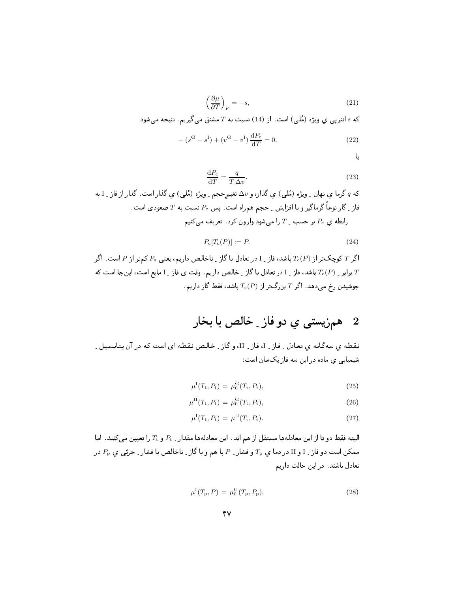$$
\left(\frac{\partial \mu}{\partial T}\right)_P = -s,\tag{21}
$$

که  $s$  انتریبی ی ویژه (مُلی) است. از (14) نسبت به  $T$  مشتق می گیریم. نتیجه می شود

$$
-(s^{G} - s^{I}) + (v^{G} - v^{I}) \frac{dP_{c}}{dT} = 0,
$$
\n(22)

L

$$
\frac{\mathrm{d}P_{\mathrm{c}}}{\mathrm{d}T} = \frac{q}{T\,\Delta v},\tag{23}
$$

که  $q$  گرما ی نهان <sub>-</sub> ویژه (مُلبی) ی گذار، و ۵v تغییرحجم <sub>-</sub> ویژه (مُلبی) ی گذار است. گذار از فاز <sub>-</sub> I به فاز ِ گار نوعاً گرماگیر و با افزایش ِ حجم همراه است. پس  $P_{\rm c}$  نسبت به  $T$  صعودی است. رابطه ی  $P_{\rm c}$  بر حسب ِ  $T$  را میشود وارون کرد . تعریف میکنیم

$$
P_{\rm c}[T_{\rm c}(P)] := P. \tag{24}
$$

اگر  $T$  کوچکتر از  $T_{\rm c}(P)$  باشد، فاز  $_{\rm c}$  در تعادل با گاز ِ ناخالص داریم، یعنی  $P_{\rm s}$  کمتر از  $P$  است. اگر برابر \_  $T_{\rm c}(P)$  باشد، فاز \_ I در تعادل با گاز \_ خالص داريم. وقت ی فاز \_ I مايع است، اينجا است كه  $T$ جوشیدن رخ می دهد. اگر  $T$  بزرگتر از  $T_{\rm c}(P)$  باشد، فقط گاز داریم.

#### همزيستي ي دو فاز <sub>-</sub> خالص با بخار  $\mathbf{2}$

نقطه ی سهگانه ی تعادل ِ فاز ِ I، فاز ِ II، و گاز ِ خالص نقطه ای است که در آن پتانسیل ِ شیمیایی ی ماده در این سه فاز یکسان است:

$$
\mu^{\mathrm{I}}(T_{\mathrm{t}}, P_{\mathrm{t}}) = \mu_0^{\mathrm{G}}(T_{\mathrm{t}}, P_{\mathrm{t}}),\tag{25}
$$

$$
\mu^{\rm II}(T_{\rm t}, P_{\rm t}) = \mu_0^{\rm G}(T_{\rm t}, P_{\rm t}),\tag{26}
$$

$$
\mu^{\text{I}}(T_{\text{t}}, P_{\text{t}}) = \mu^{\text{II}}(T_{\text{t}}, P_{\text{t}}). \tag{27}
$$

البته فقط دو تا از این معادلهها مستقل از هم اند. این معادلهها مقدار  $P_{\rm t}$  و  $T_{\rm t}$  را تعیین میکنند. اما ممکن است دو فاز <sub>ـ</sub> I و II در دما ي  $T_{\rm p}$  و فشار <sub>ـ</sub> P با هم و با گاز <sub>-</sub> ناخالص با فشار <sub>-</sub> جزئى ي م $P_{\rm p}$  در تعادل باشند. در این حالت داریم

$$
\mu^{\text{I}}(T_{\text{p}}, P) = \mu_0^{\text{G}}(T_{\text{p}}, P_{\text{p}}),\tag{28}
$$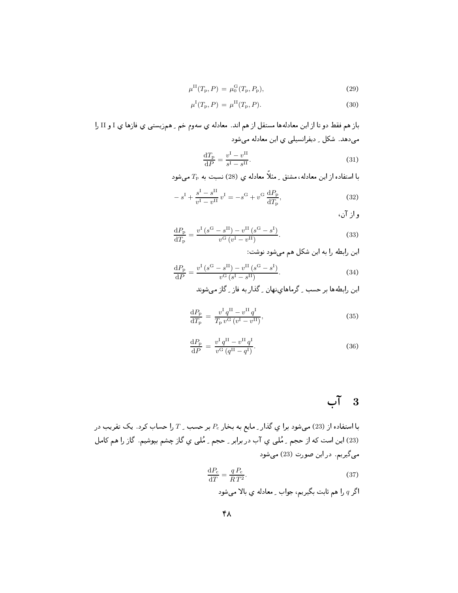$$
\mu^{\rm II}(T_{\rm p}, P) = \mu_0^{\rm G}(T_{\rm p}, P_{\rm p}),\tag{29}
$$

$$
\mu^{\rm I}(T_{\rm p}, P) = \mu^{\rm II}(T_{\rm p}, P). \tag{30}
$$

باز هم فقط دو تا از اين معادلهها مستقل از هم اند. معادله ي سهوم خم \_ همزيستي ي فازها ي I و II را می دهد. شکل ِ دیفرانسیلی ی این معادله می شود

$$
\frac{\mathrm{d}T_{\mathrm{p}}}{\mathrm{d}P} = \frac{v^{\mathrm{I}} - v^{\mathrm{II}}}{s^{\mathrm{I}} - s^{\mathrm{II}}}.\tag{31}
$$

با استفاده از این معادله، مشتق ِ مثلاً معادله ی (28) نسبت به  $T_{\rm p}$  میشود

$$
-s^{I} + \frac{s^{I} - s^{II}}{v^{I} - v^{II}} v^{I} = -s^{G} + v^{G} \frac{dP_{p}}{dT_{p}},
$$
\n(32)

و از آن،

$$
\frac{dP_{\rm p}}{dT_{\rm p}} = \frac{v^{\rm I} \left(s^{\rm G} - s^{\rm II}\right) - v^{\rm II} \left(s^{\rm G} - s^{\rm I}\right)}{v^{\rm G} \left(v^{\rm I} - v^{\rm II}\right)}.\tag{33}
$$

این رابطه را به این شکل هم می شود نوشت:

$$
\frac{dP_{\rm p}}{dP} = \frac{v^{\rm I} \left(s^{\rm G} - s^{\rm II}\right) - v^{\rm II} \left(s^{\rm G} - s^{\rm I}\right)}{v^{\rm G} \left(s^{\rm I} - s^{\rm II}\right)}.\tag{34}
$$

این رابطهها بر حسب \_ گرماهای نهان \_ گذار به فاز \_ گاز می شوند

$$
\frac{dP_{\rm p}}{dT_{\rm p}} = \frac{v^{\rm I} q^{\rm II} - v^{\rm II} q^{\rm I}}{T_{\rm p} v^{\rm G} (v^{\rm I} - v^{\rm II})},\tag{35}
$$

$$
\frac{\mathrm{d}P_{\mathrm{p}}}{\mathrm{d}P} = \frac{v^{\mathrm{T}}q^{\mathrm{II}} - v^{\mathrm{II}}q^{\mathrm{I}}}{v^{\mathrm{G}}(q^{\mathrm{II}} - q^{\mathrm{I}})}.
$$
\n(36)

## $\overline{1}$  3

با استفاده از (23) میشود برا یِ گذار ِ مایع به بخار  $P_{\rm c}$  بر حسب ِ  $T$  را حساب کرد. یک تقریب در (23) این است که از حجم ِ مُلی ی آب در برابر ِ حجم ِ مُلی ی گاز چشم بپوشیم. گاز را هم کامل میگیریم. در این صورت (23) میشود

$$
\frac{\mathrm{d}P_{\rm c}}{\mathrm{d}T} = \frac{q \, P_{\rm c}}{R \, T^2}.\tag{37}
$$

اگر  $q$  را هم ثابت بگیریم، جواب ِ معادله ی بالا میشود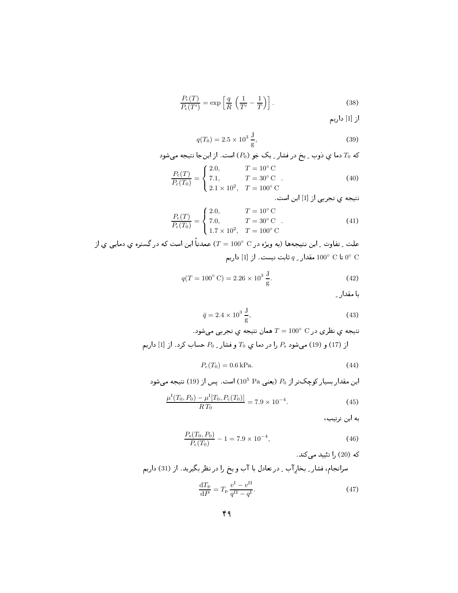$$
\frac{P_c(T)}{P_c(T')} = \exp\left[\frac{q}{R}\left(\frac{1}{T'} - \frac{1}{T}\right)\right].\tag{38}
$$

از [1] داريم

$$
q(T_0) = 2.5 \times 10^3 \frac{\text{J}}{\text{g}},\tag{39}
$$

$$
\frac{P_{\rm c}(T)}{P_{\rm c}(T_0)} = \begin{cases} 2.0, & T = 10 \text{ C} \\ 7.1, & T = 30^{\circ} \text{ C} \\ 2.1 \times 10^2, & T = 100^{\circ} \text{ C} \end{cases}
$$
(40)

نتیجه ی تجربی از [1] این است.

$$
\frac{P_{\rm c}(T)}{P_{\rm c}(T_0)} = \begin{cases} 2.0, & T = 10^{\circ} \text{ C} \\ 7.0, & T = 30^{\circ} \text{ C} \\ 1.7 \times 10^2, & T = 100^{\circ} \text{ C} \end{cases} (41)
$$

علت ِ تفاوت ِ این نتیجهها (به ویژه در $100^{\circ}~\mathrm{C} = 100^{\circ}~\mathrm{C}$ ) عمدتاً این است که در گستره ی دمایی ی از تا $\sim 100^\circ \, \mathrm{C}$  مقدار  $q$  ثابت نیست. از [1] داریم  $0^\circ \, \mathrm{C}$ 

$$
q(T = 100^{\circ} \text{ C}) = 2.26 \times 10^3 \frac{\text{J}}{\text{g}}.
$$
 (42)

با مقدار ۔

$$
\bar{q} = 2.4 \times 10^3 \frac{\text{J}}{\text{g}},\tag{43}
$$

نتیجه ی نظری در $100^{\circ} \,\, \mathrm{C} = 100^{\circ} \,\,$ همان نتیجه ی تجربی میشود. از (17) و (19) ميشود  $P_{\rm s}$  را در دما ي  $T_{\rm 0}$  و فشار  $P_{\rm 0}$  حساب كرد. از [1] داريم

$$
P_c(T_0) = 0.6 \,\text{kPa}.\tag{44}
$$

این مقدار بسیار کوچکتر از  $P_0$  (یعنی  $P_0$  10<sup>5</sup> میل) است. پس از (19) نتیجه می شود

$$
\frac{\mu^{\text{I}}(T_0, P_0) - \mu^{\text{I}}[T_0, P_c(T_0)]}{RT_0} = 7.9 \times 10^{-4}.
$$
\n(45)

به این ترتیب،

$$
\frac{P_s(T_0, P_0)}{P_c(T_0)} - 1 = 7.9 \times 10^{-4},\tag{46}
$$

كه (20) را تئييد ميكند.

سرانجام، فشار ۔ بخارِآب ۔ در تعادل با آب و یخ را در نظر بگیرید. از (31) داریم  
\n
$$
\frac{dT_{\rm p}}{dP} = T_{\rm p} \frac{v^{\rm I} - v^{\rm II}}{q^{\rm II} - q^{\rm I}}.
$$
\n(47)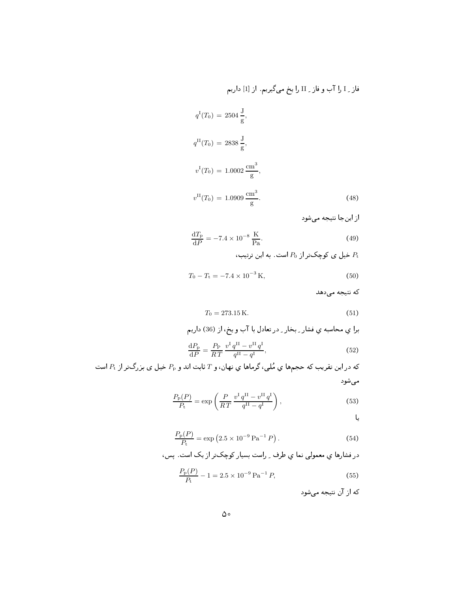فاز ِ I را آب و فاز ِ II را يخ ميگيريم. از [1] داريم

$$
q^{I}(T_0) = 2504 \frac{J}{g},
$$
  
\n
$$
q^{II}(T_0) = 2838 \frac{J}{g},
$$
  
\n
$$
v^{I}(T_0) = 1.0002 \frac{\text{cm}^3}{g},
$$
  
\n
$$
v^{II}(T_0) = 1.0909 \frac{\text{cm}^3}{g}.
$$
\n(48)

از اینجا نتیجه میشود

$$
\frac{dT_{\rm p}}{dP} = -7.4 \times 10^{-8} \frac{\rm K}{\rm Pa}.\tag{49}
$$

خیل ی کوچکتر از  $P_0$  است. به این ترتیب،  $P_{\rm t}$ 

$$
T_0 - T_t = -7.4 \times 10^{-3} \,\text{K},\tag{50}
$$

که نتیجه می دهد

$$
T_0 = 273.15 \,\mathrm{K}.\tag{51}
$$

برا ي محاسبه ي فشار ـ بخار ـ در تعادل با آب و يخ، از (36) داريم

$$
\frac{dP_{\rm p}}{dP} = \frac{P_{\rm P}}{RT} \frac{v^{\rm I} \, q^{\rm II} - v^{\rm II} \, q^{\rm I}}{q^{\rm II} - q^{\rm I}}\,,\tag{52}
$$

که در این تقریب که حجمها ی مُلی، گرماها ی نهان، و  $T$ ثابت اند و  $P_{\rm p}$  خیل ی بزرگتر از  $P_{\rm t}$  است مىشود

$$
\frac{P_{\rm p}(P)}{P_{\rm t}} = \exp\left(\frac{P}{RT}\frac{v^{\rm I}q^{\rm II} - v^{\rm II}q^{\rm I}}{q^{\rm II} - q^{\rm I}}\right),\tag{53}
$$

یا

$$
\frac{P_{\rm p}(P)}{P_{\rm t}} = \exp\left(2.5 \times 10^{-9} \,\text{Pa}^{-1} \,P\right). \tag{54}
$$

در فشارها ی معمولی نما ی طرف ِ راست بسیار کوچکتر از یک است. پس،

$$
\frac{P_{\rm p}(P)}{P_{\rm t}} - 1 = 2.5 \times 10^{-9} \,\text{Pa}^{-1} \,P,\tag{55}
$$

كه از آن نتيجه مي شود